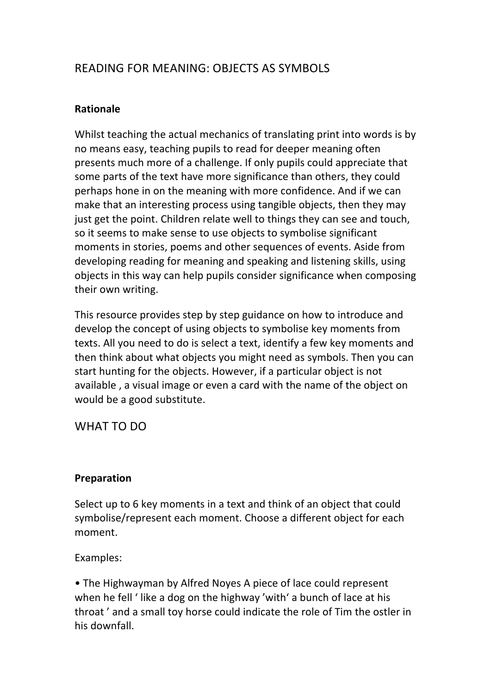# READING FOR MEANING: OBJECTS AS SYMBOLS

## **Rationale**

Whilst teaching the actual mechanics of translating print into words is by no means easy, teaching pupils to read for deeper meaning often presents much more of a challenge. If only pupils could appreciate that some parts of the text have more significance than others, they could perhaps hone in on the meaning with more confidence. And if we can make that an interesting process using tangible objects, then they may just get the point. Children relate well to things they can see and touch, so it seems to make sense to use objects to symbolise significant moments in stories, poems and other sequences of events. Aside from developing reading for meaning and speaking and listening skills, using objects in this way can help pupils consider significance when composing their own writing.

This resource provides step by step guidance on how to introduce and develop the concept of using objects to symbolise key moments from texts. All you need to do is select a text, identify a few key moments and then think about what objects you might need as symbols. Then you can start hunting for the objects. However, if a particular object is not available, a visual image or even a card with the name of the object on would be a good substitute.

WHAT TO DO

### **Preparation**

Select up to 6 key moments in a text and think of an object that could symbolise/represent each moment. Choose a different object for each moment. 

Examples: 

• The Highwayman by Alfred Noyes A piece of lace could represent when he fell 'like a dog on the highway 'with' a bunch of lace at his throat' and a small toy horse could indicate the role of Tim the ostler in his downfall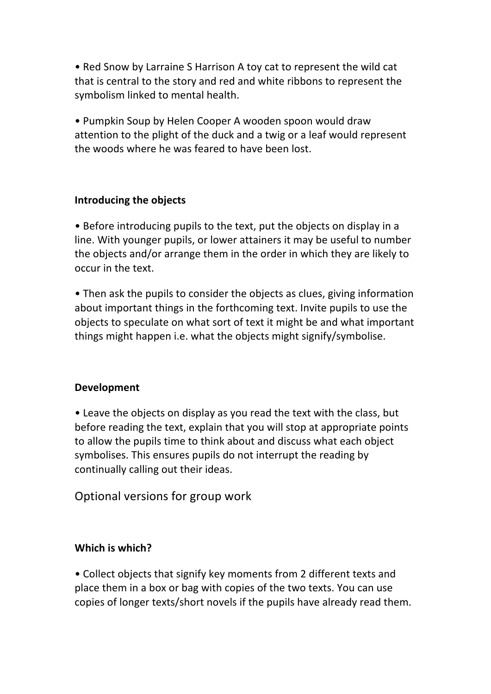• Red Snow by Larraine S Harrison A toy cat to represent the wild cat that is central to the story and red and white ribbons to represent the symbolism linked to mental health.

• Pumpkin Soup by Helen Cooper A wooden spoon would draw attention to the plight of the duck and a twig or a leaf would represent the woods where he was feared to have been lost.

## **Introducing the objects**

• Before introducing pupils to the text, put the objects on display in a line. With younger pupils, or lower attainers it may be useful to number the objects and/or arrange them in the order in which they are likely to occur in the text. 

• Then ask the pupils to consider the obiects as clues, giving information about important things in the forthcoming text. Invite pupils to use the objects to speculate on what sort of text it might be and what important things might happen i.e. what the objects might signify/symbolise.

### **Development**

• Leave the objects on display as you read the text with the class, but before reading the text, explain that you will stop at appropriate points to allow the pupils time to think about and discuss what each object symbolises. This ensures pupils do not interrupt the reading by continually calling out their ideas.

Optional versions for group work

# **Which is which?**

• Collect objects that signify key moments from 2 different texts and place them in a box or bag with copies of the two texts. You can use copies of longer texts/short novels if the pupils have already read them.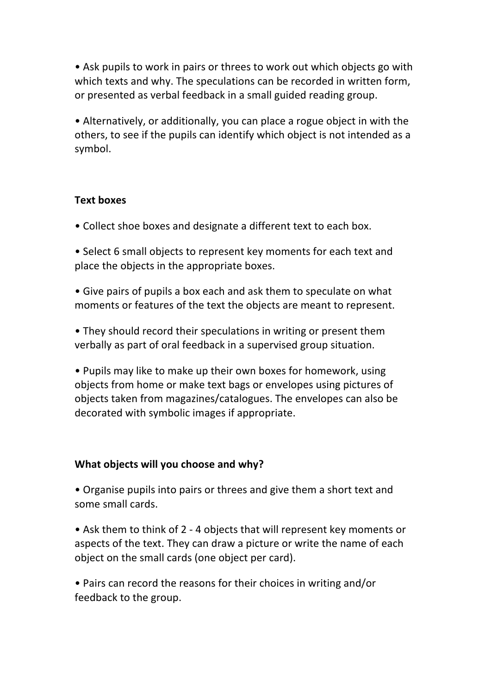• Ask pupils to work in pairs or threes to work out which objects go with which texts and why. The speculations can be recorded in written form, or presented as verbal feedback in a small guided reading group.

• Alternatively, or additionally, you can place a rogue object in with the others, to see if the pupils can identify which object is not intended as a symbol. 

## **Text boxes**

- Collect shoe boxes and designate a different text to each box.
- Select 6 small objects to represent key moments for each text and place the objects in the appropriate boxes.
- Give pairs of pupils a box each and ask them to speculate on what moments or features of the text the objects are meant to represent.
- They should record their speculations in writing or present them verbally as part of oral feedback in a supervised group situation.
- Pupils may like to make up their own boxes for homework, using objects from home or make text bags or envelopes using pictures of objects taken from magazines/catalogues. The envelopes can also be decorated with symbolic images if appropriate.

### **What objects will you choose and why?**

• Organise pupils into pairs or threes and give them a short text and some small cards.

- Ask them to think of 2 4 objects that will represent key moments or aspects of the text. They can draw a picture or write the name of each object on the small cards (one object per card).
- Pairs can record the reasons for their choices in writing and/or feedback to the group.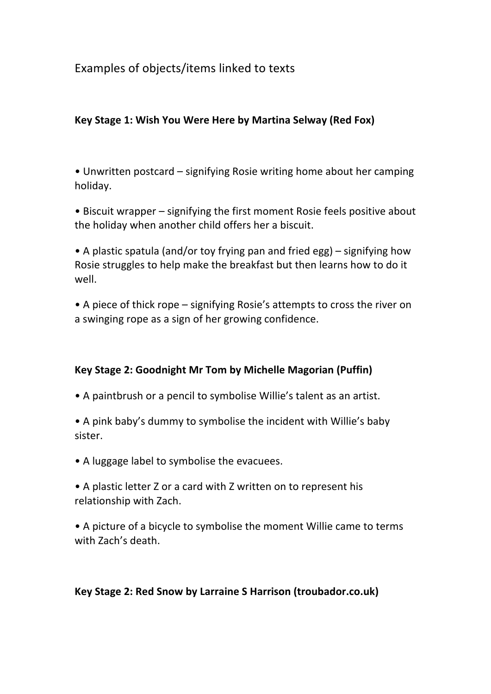Examples of objects/items linked to texts

## Key Stage 1: Wish You Were Here by Martina Selway (Red Fox)

• Unwritten postcard – signifying Rosie writing home about her camping holiday. 

• Biscuit wrapper – signifying the first moment Rosie feels positive about the holiday when another child offers her a biscuit.

• A plastic spatula (and/or toy frying pan and fried egg) – signifying how Rosie struggles to help make the breakfast but then learns how to do it well. 

• A piece of thick rope – signifying Rosie's attempts to cross the river on a swinging rope as a sign of her growing confidence.

# Key Stage 2: Goodnight Mr Tom by Michelle Magorian (Puffin)

• A paintbrush or a pencil to symbolise Willie's talent as an artist.

• A pink baby's dummy to symbolise the incident with Willie's baby sister. 

• A luggage label to symbolise the evacuees.

• A plastic letter Z or a card with Z written on to represent his relationship with Zach.

• A picture of a bicycle to symbolise the moment Willie came to terms with Zach's death.

### Key Stage 2: Red Snow by Larraine S Harrison (troubador.co.uk)